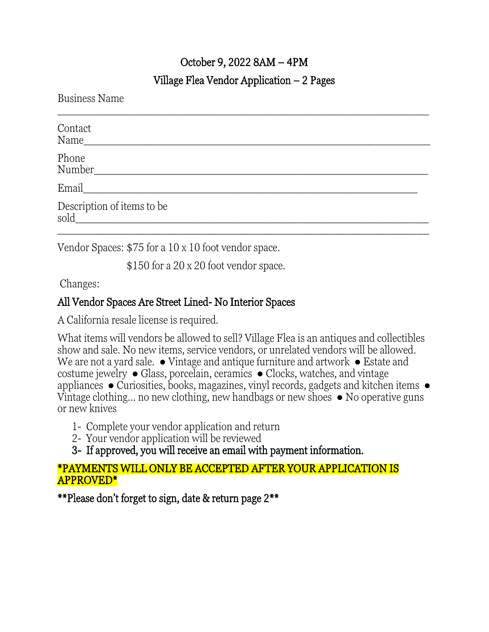# October 9, 2022 8AM – 4PM

### Village Flea Vendor Application – 2 Pages

Business Name

| Contact<br>Name                    |
|------------------------------------|
| Phone<br>Number                    |
| Email                              |
| Description of items to be<br>sold |
|                                    |

Vendor Spaces: \$75 for a 10 x 10 foot vendor space.

\$150 for a 20 x 20 foot vendor space.

Changes:

# All Vendor Spaces Are Street Lined- No Interior Spaces

A California resale license is required.

What items will vendors be allowed to sell? Village Flea is an antiques and collectibles show and sale. No new items, service vendors, or unrelated vendors will be allowed. We are not a yard sale.  $\bullet$  Vintage and antique furniture and artwork  $\bullet$  Estate and costume jewelry ● Glass, porcelain, ceramics ● Clocks, watches, and vintage appliances ● Curiosities, books, magazines, vinyl records, gadgets and kitchen items ● Vintage clothing... no new clothing, new handbags or new shoes  $\bullet$  No operative guns or new knives

- 1- Complete your vendor application and return
- 2- Your vendor application will be reviewed
- 3- If approved, you will receive an email with payment information.

### \*PAYMENTS WILL ONLY BE ACCEPTED AFTER YOUR APPLICATION IS APPROVED\*

\*\*Please don't forget to sign, date & return page 2\*\*